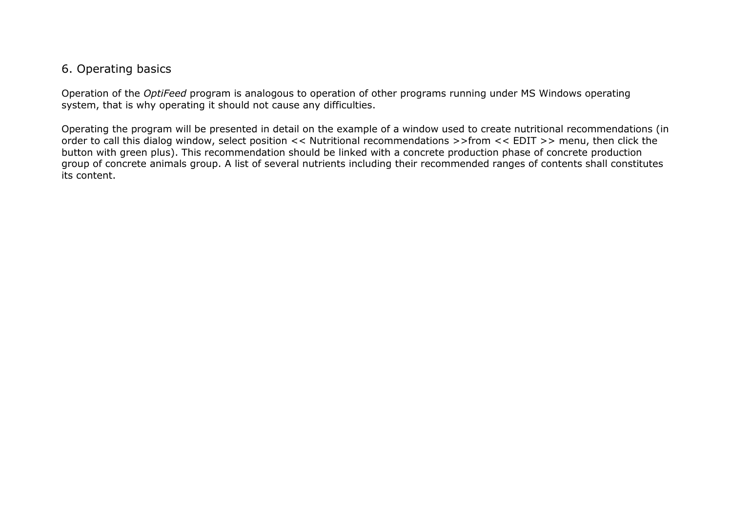## 6. Operating basics

Operation of the *OptiFeed* program is analogous to operation of other programs running under MS Windows operating system, that is why operating it should not cause any difficulties.

Operating the program will be presented in detail on the example of a window used to create nutritional recommendations (in order to call this dialog window, select position << Nutritional recommendations >>from << EDIT >> menu, then click the button with green plus). This recommendation should be linked with a concrete production phase of concrete production group of concrete animals group. A list of several nutrients including their recommended ranges of contents shall constitutes its content.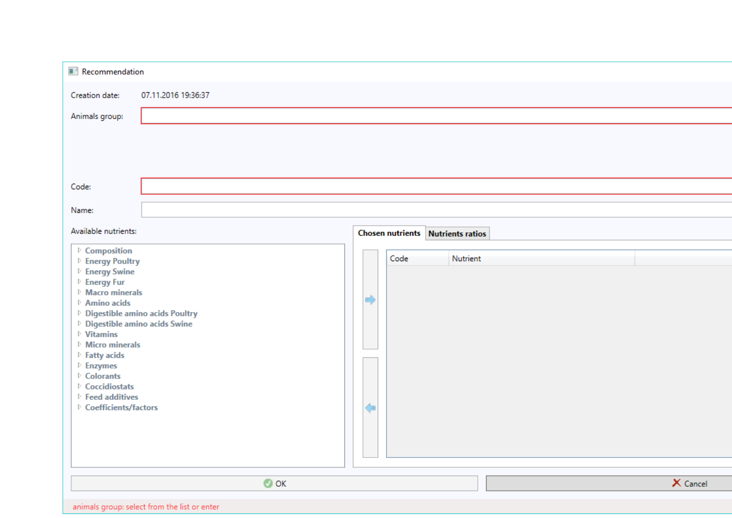| Recommendation                                             |                                          |  |
|------------------------------------------------------------|------------------------------------------|--|
| Creation date:<br>07.11.2016 19:36:37                      |                                          |  |
| Animals group:                                             |                                          |  |
|                                                            |                                          |  |
|                                                            |                                          |  |
| Code:                                                      |                                          |  |
| Name:                                                      |                                          |  |
| Available nutrients:                                       |                                          |  |
|                                                            | <b>Chosen nutrients</b> Nutrients ratios |  |
| ▷ Composition<br>▷ Energy Poultry                          | Code<br>Nutrient                         |  |
| <b>D</b> Energy Swine<br><b>D</b> Energy Fur               |                                          |  |
| <b>Macro minerals</b>                                      |                                          |  |
| Amino acids<br><sup>D</sup> Digestible amino acids Poultry | $\Rightarrow$                            |  |
| <sup>b</sup> Digestible amino acids Swine                  |                                          |  |
| $\triangleright$ Vitamins<br>Micro minerals                |                                          |  |
| $\triangleright$ Fatty acids                               |                                          |  |
| $\triangleright$ Enzymes                                   |                                          |  |
| Colorants<br>▷ Coccidiostats                               |                                          |  |
| $\triangleright$ Feed additives                            |                                          |  |
| ▷ Coefficients/factors                                     | ⇚                                        |  |
|                                                            |                                          |  |
|                                                            |                                          |  |
|                                                            |                                          |  |
| $\bullet$ ok                                               | X Cancel                                 |  |
|                                                            |                                          |  |
| animals group: select from the list or enter               |                                          |  |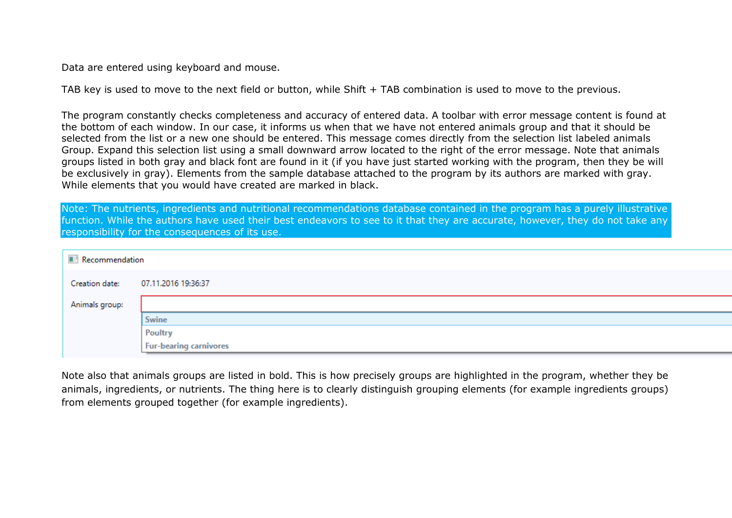Data are entered using keyboard and mouse.

TAB key is used to move to the next field or button, while Shift + TAB combination is used to move to the previous.

The program constantly checks completeness and accuracy of entered data. A toolbar with error message content is found at the bottom of each window. In our case, it informs us when that we have not entered animals group and that it should be selected from the list or a new one should be entered. This message comes directly from the selection list labeled animals Group. Expand this selection list using a small downward arrow located to the right of the error message. Note that animals groups listed in both gray and black font are found in it (if you have just started working with the program, then they be will be exclusively in gray). Elements from the sample database attached to the program by its authors are marked with gray. While elements that you would have created are marked in black.

Note: The nutrients, ingredients and nutritional recommendations database contained in the program has a purely illustrative function. While the authors have used their best endeavors to see to it that they are accurate, however, they do not take any responsibility for the consequences of its use.

|                | Recommendation                |  |  |  |  |  |  |
|----------------|-------------------------------|--|--|--|--|--|--|
| Creation date: | 07.11.2016 19:36:37           |  |  |  |  |  |  |
| Animals group: |                               |  |  |  |  |  |  |
|                | Swine                         |  |  |  |  |  |  |
|                | <b>Poultry</b>                |  |  |  |  |  |  |
|                | <b>Fur-bearing carnivores</b> |  |  |  |  |  |  |
|                |                               |  |  |  |  |  |  |

Note also that animals groups are listed in bold. This is how precisely groups are highlighted in the program, whether they be animals, ingredients, or nutrients. The thing here is to clearly distinguish grouping elements (for example ingredients groups) from elements grouped together (for example ingredients).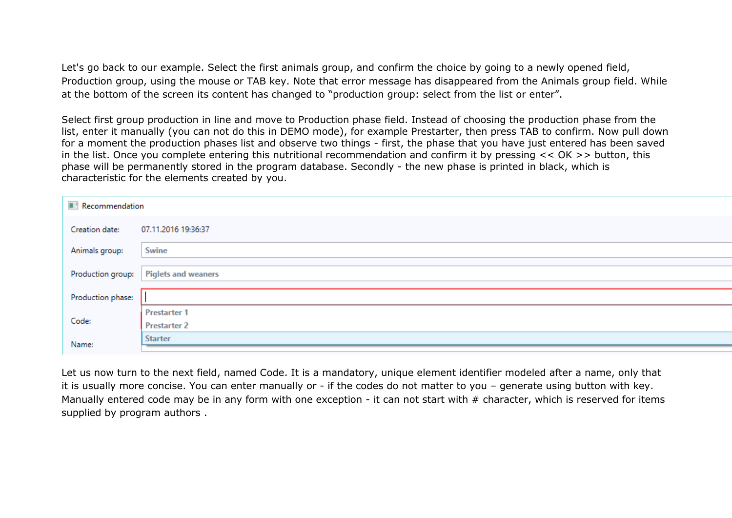Let's go back to our example. Select the first animals group, and confirm the choice by going to a newly opened field, Production group, using the mouse or TAB key. Note that error message has disappeared from the Animals group field. While at the bottom of the screen its content has changed to "production group: select from the list or enter".

Select first group production in line and move to Production phase field. Instead of choosing the production phase from the list, enter it manually (you can not do this in DEMO mode), for example Prestarter, then press TAB to confirm. Now pull down for a moment the production phases list and observe two things - first, the phase that you have just entered has been saved in the list. Once you complete entering this nutritional recommendation and confirm it by pressing << OK >> button, this phase will be permanently stored in the program database. Secondly - the new phase is printed in black, which is characteristic for the elements created by you.

|                   | Recommendation             |  |  |  |  |  |  |
|-------------------|----------------------------|--|--|--|--|--|--|
| Creation date:    | 07.11.2016 19:36:37        |  |  |  |  |  |  |
| Animals group:    | Swine                      |  |  |  |  |  |  |
| Production group: | <b>Piglets and weaners</b> |  |  |  |  |  |  |
| Production phase: |                            |  |  |  |  |  |  |
|                   | <b>Prestarter 1</b>        |  |  |  |  |  |  |
| Code:             | <b>Prestarter 2</b>        |  |  |  |  |  |  |
| Name:             | <b>Starter</b>             |  |  |  |  |  |  |
|                   |                            |  |  |  |  |  |  |

Let us now turn to the next field, named Code. It is a mandatory, unique element identifier modeled after a name, only that it is usually more concise. You can enter manually or - if the codes do not matter to you – generate using button with key. Manually entered code may be in any form with one exception - it can not start with # character, which is reserved for items supplied by program authors .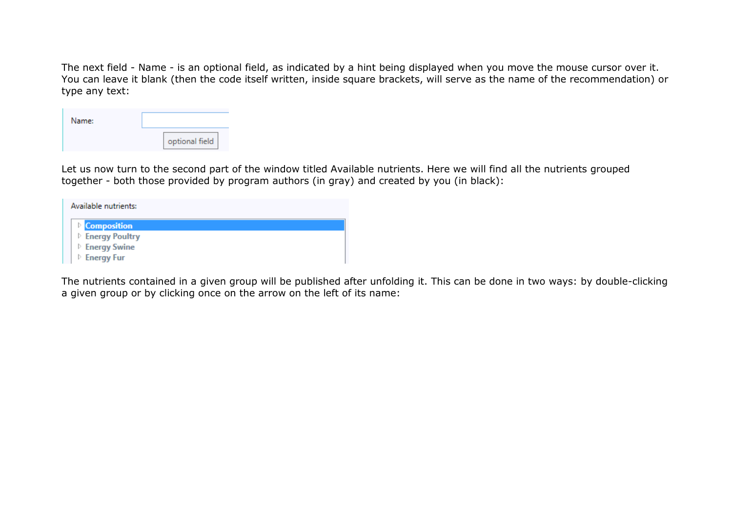The next field - Name - is an optional field, as indicated by a hint being displayed when you move the mouse cursor over it. You can leave it blank (then the code itself written, inside square brackets, will serve as the name of the recommendation) or type any text:

| Name: |                |
|-------|----------------|
|       | optional field |

Let us now turn to the second part of the window titled Available nutrients. Here we will find all the nutrients grouped together - both those provided by program authors (in gray) and created by you (in black):

| Available nutrients:        |  |
|-----------------------------|--|
| <b>Composition</b>          |  |
| <b>D</b> Energy Poultry     |  |
| <b>D</b> Energy Swine       |  |
| $\triangleright$ Energy Fur |  |

The nutrients contained in a given group will be published after unfolding it. This can be done in two ways: by double-clicking a given group or by clicking once on the arrow on the left of its name: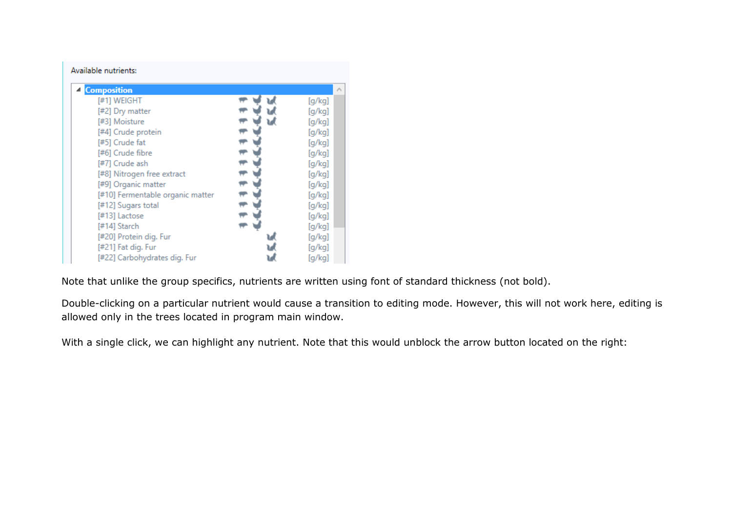| Available nutrients:             |   |                 |
|----------------------------------|---|-----------------|
| <b>4</b> Composition             |   | $\mathcal{O}_n$ |
| [#1] WEIGHT                      |   | [g/kg]          |
| [#2] Dry matter                  | w | [g/kg]          |
| [#3] Moisture                    | w | [g/kg]          |
| [#4] Crude protein               |   | [g/kg]          |
| [#5] Crude fat                   |   | [g/kg]          |
| [#6] Crude fibre                 |   | [g/kg]          |
| [#7] Crude ash                   |   | [g/kg]          |
| [#8] Nitrogen free extract       |   | [g/kg]          |
| [#9] Organic matter              |   | [g/kg]          |
| [#10] Fermentable organic matter |   | [g/kg]          |
| [#12] Sugars total               |   | [g/kg]          |
| [#13] Lactose                    |   | [g/kg]          |
| [#14] Starch                     |   | [g/kg]          |
| [#20] Protein dig. Fur           |   | [g/kg]          |
| [#21] Fat dig. Fur               |   | [g/kg]          |
| [#22] Carbohydrates dig. Fur     |   | [g/kg]          |

Note that unlike the group specifics, nutrients are written using font of standard thickness (not bold).

Double-clicking on a particular nutrient would cause a transition to editing mode. However, this will not work here, editing is allowed only in the trees located in program main window.

With a single click, we can highlight any nutrient. Note that this would unblock the arrow button located on the right: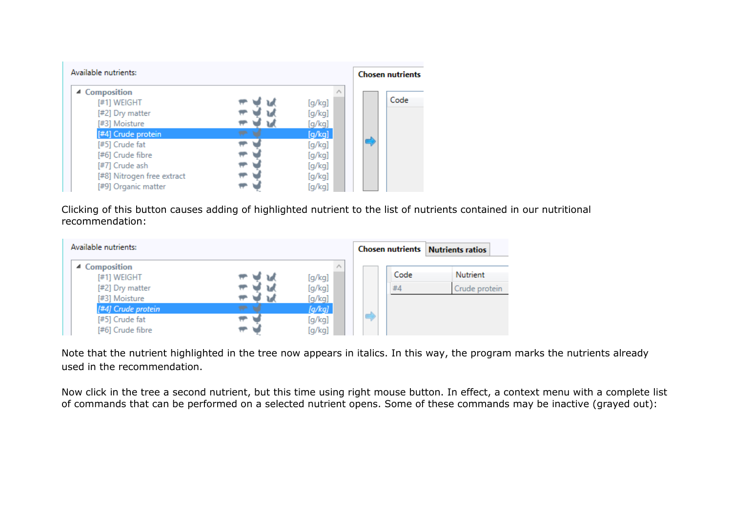| Available nutrients:       |        | <b>Chosen nutrients</b> |
|----------------------------|--------|-------------------------|
| ▲ Composition              |        | Code                    |
| [#1] WEIGHT                | [g/kg] |                         |
| [#2] Dry matter            | [g/kg] |                         |
| [#3] Moisture              | [g/kg] |                         |
| [#4] Crude protein         | [g/kg] |                         |
| [#5] Crude fat             | [g/kg] |                         |
| [#6] Crude fibre           | [g/kg] |                         |
| [#7] Crude ash             | [g/kg] |                         |
| [#8] Nitrogen free extract | [g/kg] |                         |
| [#9] Organic matter        | [q/kg] |                         |

Clicking of this button causes adding of highlighted nutrient to the list of nutrients contained in our nutritional recommendation:

| Available nutrients:                |   |                         | <b>Chosen nutrients Nutrients ratios</b> |                 |
|-------------------------------------|---|-------------------------|------------------------------------------|-----------------|
| ▲ Composition<br>[#1] WEIGHT        |   | $\mathcal{N}$<br>[g/kg] | Code                                     | <b>Nutrient</b> |
| [#2] Dry matter                     |   | [g/kg]                  | #4                                       | Crude protein   |
| [#3] Moisture<br>[#4] Crude protein | ÷ | [g/kg]<br>[g/kg]        |                                          |                 |
| [#5] Crude fat                      |   | [g/kg]                  | d                                        |                 |
| [#6] Crude fibre                    |   | [g/kg]                  |                                          |                 |

Note that the nutrient highlighted in the tree now appears in italics. In this way, the program marks the nutrients already used in the recommendation.

Now click in the tree a second nutrient, but this time using right mouse button. In effect, a context menu with a complete list of commands that can be performed on a selected nutrient opens. Some of these commands may be inactive (grayed out):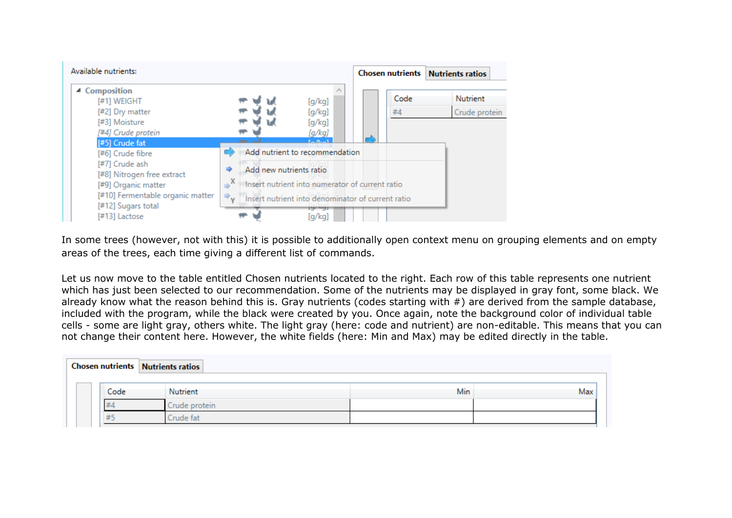

In some trees (however, not with this) it is possible to additionally open context menu on grouping elements and on empty areas of the trees, each time giving a different list of commands.

Let us now move to the table entitled Chosen nutrients located to the right. Each row of this table represents one nutrient which has just been selected to our recommendation. Some of the nutrients may be displayed in gray font, some black. We already know what the reason behind this is. Gray nutrients (codes starting with #) are derived from the sample database, included with the program, while the black were created by you. Once again, note the background color of individual table cells - some are light gray, others white. The light gray (here: code and nutrient) are non-editable. This means that you can not change their content here. However, the white fields (here: Min and Max) may be edited directly in the table.

|      | <b>Chosen nutrients</b> Nutrients ratios |     |     |
|------|------------------------------------------|-----|-----|
| Code | Nutrient                                 | Min | Max |
| #4   | Crude protein                            |     |     |
| 井    | Crude fat                                |     |     |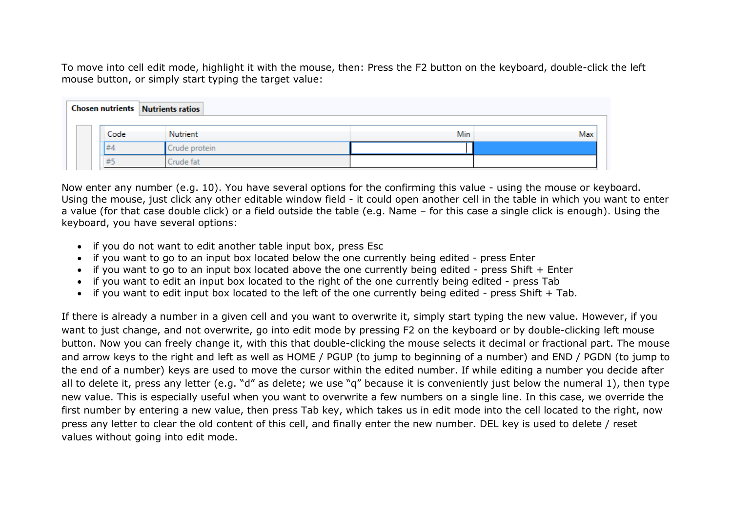To move into cell edit mode, highlight it with the mouse, then: Press the F2 button on the keyboard, double-click the left mouse button, or simply start typing the target value:

|      | <b>Chosen nutrients Nutrients ratios</b> |            |     |  |  |  |  |  |
|------|------------------------------------------|------------|-----|--|--|--|--|--|
|      |                                          |            |     |  |  |  |  |  |
| Code | Nutrient                                 | <b>Min</b> | Max |  |  |  |  |  |
| 世    | Crude protein                            |            |     |  |  |  |  |  |
| ≖    | Irude fat                                |            |     |  |  |  |  |  |

Now enter any number (e.g. 10). You have several options for the confirming this value - using the mouse or keyboard. Using the mouse, just click any other editable window field - it could open another cell in the table in which you want to enter a value (for that case double click) or a field outside the table (e.g. Name – for this case a single click is enough). Using the keyboard, you have several options:

- if you do not want to edit another table input box, press Esc
- if you want to go to an input box located below the one currently being edited press Enter
- if you want to go to an input box located above the one currently being edited press Shift + Enter
- if you want to edit an input box located to the right of the one currently being edited press Tab
- if you want to edit input box located to the left of the one currently being edited press Shift + Tab.

If there is already a number in a given cell and you want to overwrite it, simply start typing the new value. However, if you want to just change, and not overwrite, go into edit mode by pressing F2 on the keyboard or by double-clicking left mouse button. Now you can freely change it, with this that double-clicking the mouse selects it decimal or fractional part. The mouse and arrow keys to the right and left as well as HOME / PGUP (to jump to beginning of a number) and END / PGDN (to jump to the end of a number) keys are used to move the cursor within the edited number. If while editing a number you decide after all to delete it, press any letter (e.g. "d" as delete; we use "q" because it is conveniently just below the numeral 1), then type new value. This is especially useful when you want to overwrite a few numbers on a single line. In this case, we override the first number by entering a new value, then press Tab key, which takes us in edit mode into the cell located to the right, now press any letter to clear the old content of this cell, and finally enter the new number. DEL key is used to delete / reset values without going into edit mode.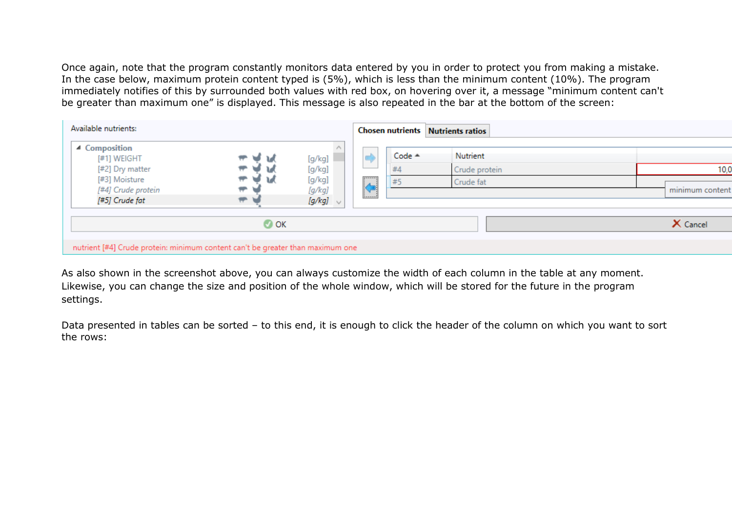Once again, note that the program constantly monitors data entered by you in order to protect you from making a mistake. In the case below, maximum protein content typed is (5%), which is less than the minimum content (10%). The program immediately notifies of this by surrounded both values with red box, on hovering over it, a message "minimum content can't be greater than maximum one" is displayed. This message is also repeated in the bar at the bottom of the screen:

| Available nutrients:                                                           |                                                           |                  |                 | <b>Chosen nutrients Nutrients ratios</b> |               |                 |
|--------------------------------------------------------------------------------|-----------------------------------------------------------|------------------|-----------------|------------------------------------------|---------------|-----------------|
| ▲ Composition<br>[#1] WEIGHT                                                   | ਾਂ ਅ                                                      | [g/kg]           |                 | Code $\triangle$                         | Nutrient      |                 |
| [#2] Dry matter                                                                | $\overline{\phantom{a}}$<br>$\overline{\phantom{a}}$<br>J | [g/kg]           | F               | #4                                       | Crude protein | 10,0            |
| [#3] Moisture<br>[#4] Crude protein                                            | W.<br>$\overline{\phantom{a}}$                            | [g/kg]<br>[g/kg] | $\blacklozenge$ | #5                                       | Crude fat     | minimum content |
| [#5] Crude fat                                                                 | $\overline{\mathbf{r}}$                                   | [g/kg] $\vee$    |                 |                                          |               |                 |
|                                                                                | $\bullet$ ok                                              |                  |                 |                                          |               | X Cancel        |
| nutrient [#4] Crude protein: minimum content can't be greater than maximum one |                                                           |                  |                 |                                          |               |                 |

As also shown in the screenshot above, you can always customize the width of each column in the table at any moment. Likewise, you can change the size and position of the whole window, which will be stored for the future in the program settings.

Data presented in tables can be sorted – to this end, it is enough to click the header of the column on which you want to sort the rows: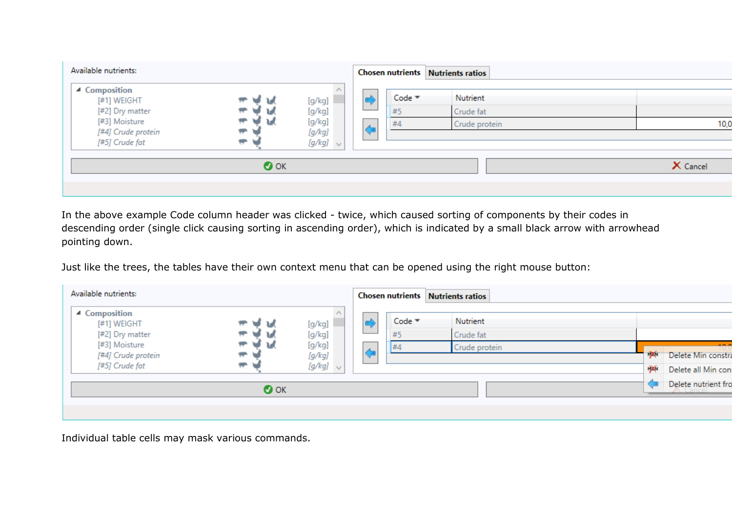| Available nutrients:                                                                                     |                                                                                                   |                                                       |          |                           | <b>Chosen nutrients Nutrients ratios</b> |          |
|----------------------------------------------------------------------------------------------------------|---------------------------------------------------------------------------------------------------|-------------------------------------------------------|----------|---------------------------|------------------------------------------|----------|
| ▲ Composition<br>[#1] WEIGHT<br>[#2] Dry matter<br>[#3] Moisture<br>[#4] Crude protein<br>[#5] Crude fat | ⊌ u<br>┯<br>$\overline{\phantom{a}}$<br>$\overline{\phantom{a}}$<br>$\overline{\phantom{a}}$<br>۳ | [g/kg]<br>[g/kg]<br>[g/kg]<br>[g/kg]<br>[g/kg] $\vee$ | λ.<br>۷F | Code $\equiv$<br>#5<br>#4 | Nutrient<br>Crude fat<br>Crude protein   | 10,0     |
|                                                                                                          | $\bullet$ ok                                                                                      |                                                       |          |                           |                                          | X Cancel |

In the above example Code column header was clicked - twice, which caused sorting of components by their codes in descending order (single click causing sorting in ascending order), which is indicated by a small black arrow with arrowhead pointing down.

Just like the trees, the tables have their own context menu that can be opened using the right mouse button:

| Available nutrients:                                  |             |                                   |                     |                | <b>Chosen nutrients Nutrients ratios</b> |                            |                                                      |
|-------------------------------------------------------|-------------|-----------------------------------|---------------------|----------------|------------------------------------------|----------------------------|------------------------------------------------------|
| ▲ Composition<br>[#1] WEIGHT<br>[#2] Dry matter       | ┯           | [g/kg]<br>[g/kg]                  | ᅩ                   | $Code =$<br>#5 | Nutrient<br>Crude fat                    |                            |                                                      |
| [#3] Moisture<br>[#4] Crude protein<br>[#5] Crude fat | ┯<br>┯<br>┯ | [g/kg]<br>[g/kg]<br>$[g/kg] \sim$ | $\overline{A}$<br>▽ | #4             | Crude protein                            | $\mathbf{N}$<br><b>DEN</b> | 4,85,85<br>Delete Min constra<br>Delete all Min con: |
| $\bullet$ ok                                          |             |                                   |                     |                |                                          |                            | Delete nutrient fro                                  |
|                                                       |             |                                   |                     |                |                                          |                            |                                                      |

Individual table cells may mask various commands.